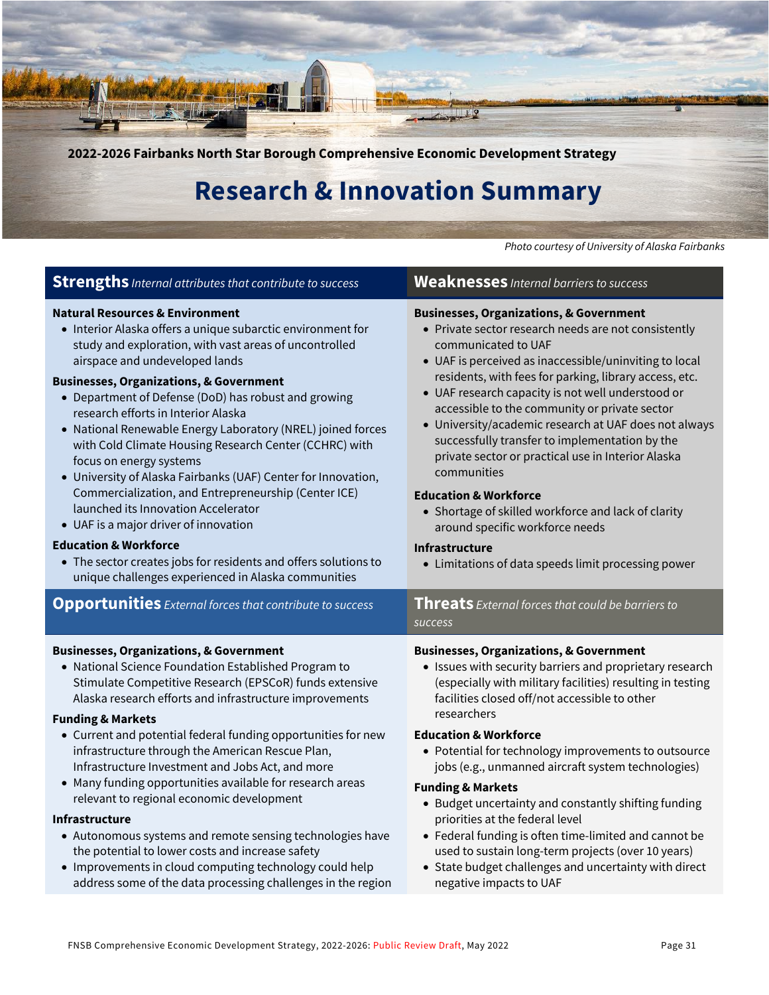

## **Research & Innovation Summary**

*Photo courtesy of University of Alaska Fairbanks*

| <b>Strengths</b> Internal attributes that contribute to success                                                                                                                                                                                                                                                                                                                                                                                                                                                                                                                                                                                                                                                                                                                                                                                                                       | <b>Weaknesses</b> Internal barriers to success                                                                                                                                                                                                                                                                                                                                                                                                                                                                                                                                                                                                                                                                                                     |
|---------------------------------------------------------------------------------------------------------------------------------------------------------------------------------------------------------------------------------------------------------------------------------------------------------------------------------------------------------------------------------------------------------------------------------------------------------------------------------------------------------------------------------------------------------------------------------------------------------------------------------------------------------------------------------------------------------------------------------------------------------------------------------------------------------------------------------------------------------------------------------------|----------------------------------------------------------------------------------------------------------------------------------------------------------------------------------------------------------------------------------------------------------------------------------------------------------------------------------------------------------------------------------------------------------------------------------------------------------------------------------------------------------------------------------------------------------------------------------------------------------------------------------------------------------------------------------------------------------------------------------------------------|
| <b>Natural Resources &amp; Environment</b><br>• Interior Alaska offers a unique subarctic environment for<br>study and exploration, with vast areas of uncontrolled<br>airspace and undeveloped lands<br><b>Businesses, Organizations, &amp; Government</b><br>• Department of Defense (DoD) has robust and growing<br>research efforts in Interior Alaska<br>• National Renewable Energy Laboratory (NREL) joined forces<br>with Cold Climate Housing Research Center (CCHRC) with<br>focus on energy systems<br>• University of Alaska Fairbanks (UAF) Center for Innovation,<br>Commercialization, and Entrepreneurship (Center ICE)<br>launched its Innovation Accelerator<br>• UAF is a major driver of innovation<br><b>Education &amp; Workforce</b><br>• The sector creates jobs for residents and offers solutions to<br>unique challenges experienced in Alaska communities | <b>Businesses, Organizations, &amp; Government</b><br>• Private sector research needs are not consistently<br>communicated to UAF<br>• UAF is perceived as inaccessible/uninviting to local<br>residents, with fees for parking, library access, etc.<br>• UAF research capacity is not well understood or<br>accessible to the community or private sector<br>• University/academic research at UAF does not always<br>successfully transfer to implementation by the<br>private sector or practical use in Interior Alaska<br>communities<br><b>Education &amp; Workforce</b><br>• Shortage of skilled workforce and lack of clarity<br>around specific workforce needs<br>Infrastructure<br>• Limitations of data speeds limit processing power |
| <b>Opportunities</b> External forces that contribute to success                                                                                                                                                                                                                                                                                                                                                                                                                                                                                                                                                                                                                                                                                                                                                                                                                       | Threats External forces that could be barriers to<br><b>SUCCESS</b>                                                                                                                                                                                                                                                                                                                                                                                                                                                                                                                                                                                                                                                                                |
| <b>Businesses, Organizations, &amp; Government</b>                                                                                                                                                                                                                                                                                                                                                                                                                                                                                                                                                                                                                                                                                                                                                                                                                                    | <b>Businesses, Organizations, &amp; Government</b>                                                                                                                                                                                                                                                                                                                                                                                                                                                                                                                                                                                                                                                                                                 |
| • National Science Foundation Established Program to                                                                                                                                                                                                                                                                                                                                                                                                                                                                                                                                                                                                                                                                                                                                                                                                                                  | • Issues with security barriers and proprietary research                                                                                                                                                                                                                                                                                                                                                                                                                                                                                                                                                                                                                                                                                           |
| Stimulate Competitive Research (EPSCoR) funds extensive                                                                                                                                                                                                                                                                                                                                                                                                                                                                                                                                                                                                                                                                                                                                                                                                                               | (especially with military facilities) resulting in testing                                                                                                                                                                                                                                                                                                                                                                                                                                                                                                                                                                                                                                                                                         |
| Alaska research efforts and infrastructure improvements                                                                                                                                                                                                                                                                                                                                                                                                                                                                                                                                                                                                                                                                                                                                                                                                                               | facilities closed off/not accessible to other                                                                                                                                                                                                                                                                                                                                                                                                                                                                                                                                                                                                                                                                                                      |
| <b>Funding &amp; Markets</b>                                                                                                                                                                                                                                                                                                                                                                                                                                                                                                                                                                                                                                                                                                                                                                                                                                                          | researchers                                                                                                                                                                                                                                                                                                                                                                                                                                                                                                                                                                                                                                                                                                                                        |
| • Current and potential federal funding opportunities for new                                                                                                                                                                                                                                                                                                                                                                                                                                                                                                                                                                                                                                                                                                                                                                                                                         | <b>Education &amp; Workforce</b>                                                                                                                                                                                                                                                                                                                                                                                                                                                                                                                                                                                                                                                                                                                   |
| infrastructure through the American Rescue Plan,                                                                                                                                                                                                                                                                                                                                                                                                                                                                                                                                                                                                                                                                                                                                                                                                                                      | • Potential for technology improvements to outsource                                                                                                                                                                                                                                                                                                                                                                                                                                                                                                                                                                                                                                                                                               |
| Infrastructure Investment and Jobs Act, and more                                                                                                                                                                                                                                                                                                                                                                                                                                                                                                                                                                                                                                                                                                                                                                                                                                      | jobs (e.g., unmanned aircraft system technologies)                                                                                                                                                                                                                                                                                                                                                                                                                                                                                                                                                                                                                                                                                                 |
| • Many funding opportunities available for research areas                                                                                                                                                                                                                                                                                                                                                                                                                                                                                                                                                                                                                                                                                                                                                                                                                             | <b>Funding &amp; Markets</b>                                                                                                                                                                                                                                                                                                                                                                                                                                                                                                                                                                                                                                                                                                                       |
| relevant to regional economic development                                                                                                                                                                                                                                                                                                                                                                                                                                                                                                                                                                                                                                                                                                                                                                                                                                             | • Budget uncertainty and constantly shifting funding                                                                                                                                                                                                                                                                                                                                                                                                                                                                                                                                                                                                                                                                                               |
| <b>Infrastructure</b>                                                                                                                                                                                                                                                                                                                                                                                                                                                                                                                                                                                                                                                                                                                                                                                                                                                                 | priorities at the federal level                                                                                                                                                                                                                                                                                                                                                                                                                                                                                                                                                                                                                                                                                                                    |
| • Autonomous systems and remote sensing technologies have                                                                                                                                                                                                                                                                                                                                                                                                                                                                                                                                                                                                                                                                                                                                                                                                                             | • Federal funding is often time-limited and cannot be                                                                                                                                                                                                                                                                                                                                                                                                                                                                                                                                                                                                                                                                                              |
| the potential to lower costs and increase safety                                                                                                                                                                                                                                                                                                                                                                                                                                                                                                                                                                                                                                                                                                                                                                                                                                      | used to sustain long-term projects (over 10 years)                                                                                                                                                                                                                                                                                                                                                                                                                                                                                                                                                                                                                                                                                                 |
| • Improvements in cloud computing technology could help                                                                                                                                                                                                                                                                                                                                                                                                                                                                                                                                                                                                                                                                                                                                                                                                                               | • State budget challenges and uncertainty with direct                                                                                                                                                                                                                                                                                                                                                                                                                                                                                                                                                                                                                                                                                              |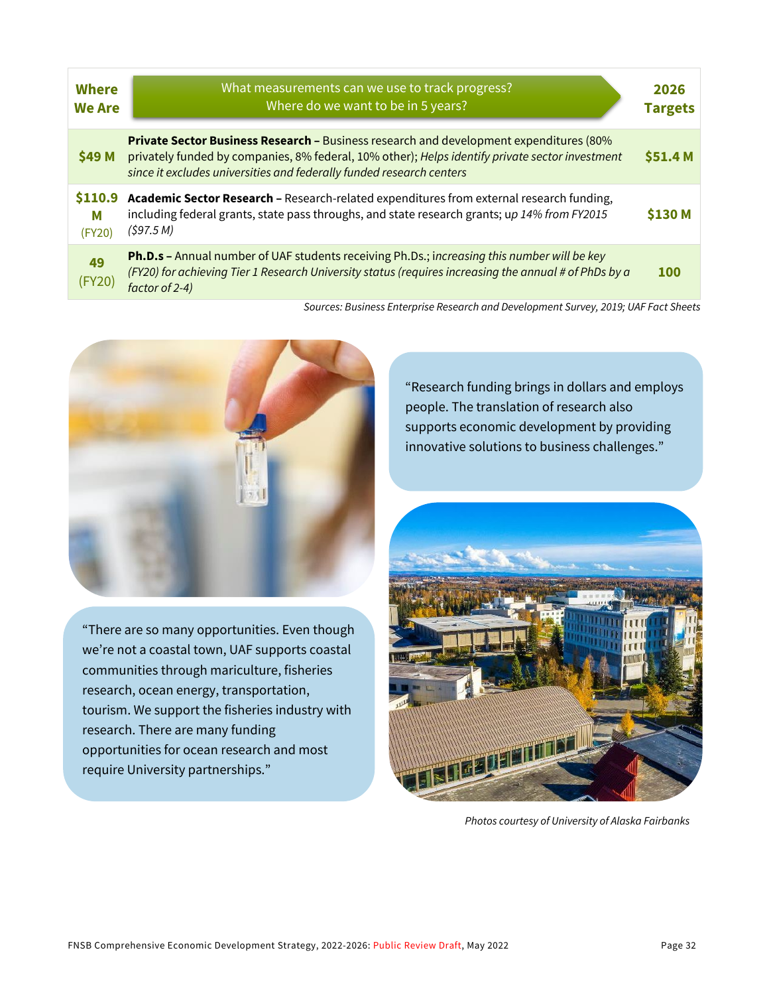| <b>Where</b><br><b>We Are</b> | What measurements can we use to track progress?<br>Where do we want to be in 5 years?                                                                                                                                                                                    | 2026<br><b>Targets</b> |
|-------------------------------|--------------------------------------------------------------------------------------------------------------------------------------------------------------------------------------------------------------------------------------------------------------------------|------------------------|
| \$49 M                        | <b>Private Sector Business Research - Business research and development expenditures (80%</b><br>privately funded by companies, 8% federal, 10% other); Helps identify private sector investment<br>since it excludes universities and federally funded research centers | \$51.4 M               |
| \$110.9<br>M<br>(FY20)        | Academic Sector Research - Research-related expenditures from external research funding,<br>including federal grants, state pass throughs, and state research grants; up 14% from FY2015<br>(597.5 M)                                                                    | <b>\$130 M</b>         |
| 49<br>(FY20)                  | Ph.D.s - Annual number of UAF students receiving Ph.Ds.; increasing this number will be key<br>(FY20) for achieving Tier 1 Research University status (requires increasing the annual # of PhDs by a<br>factor of 2-4)                                                   | <b>100</b>             |

*Sources: Business Enterprise Research and Development Survey, 2019; UAF Fact Sheets*



"There are so many opportunities. Even though we're not a coastal town, UAF supports coastal communities through mariculture, fisheries research, ocean energy, transportation, tourism. We support the fisheries industry with research. There are many funding opportunities for ocean research and most require University partnerships."

"Research funding brings in dollars and employs people. The translation of research also supports economic development by providing innovative solutions to business challenges."



*Photos courtesy of University of Alaska Fairbanks*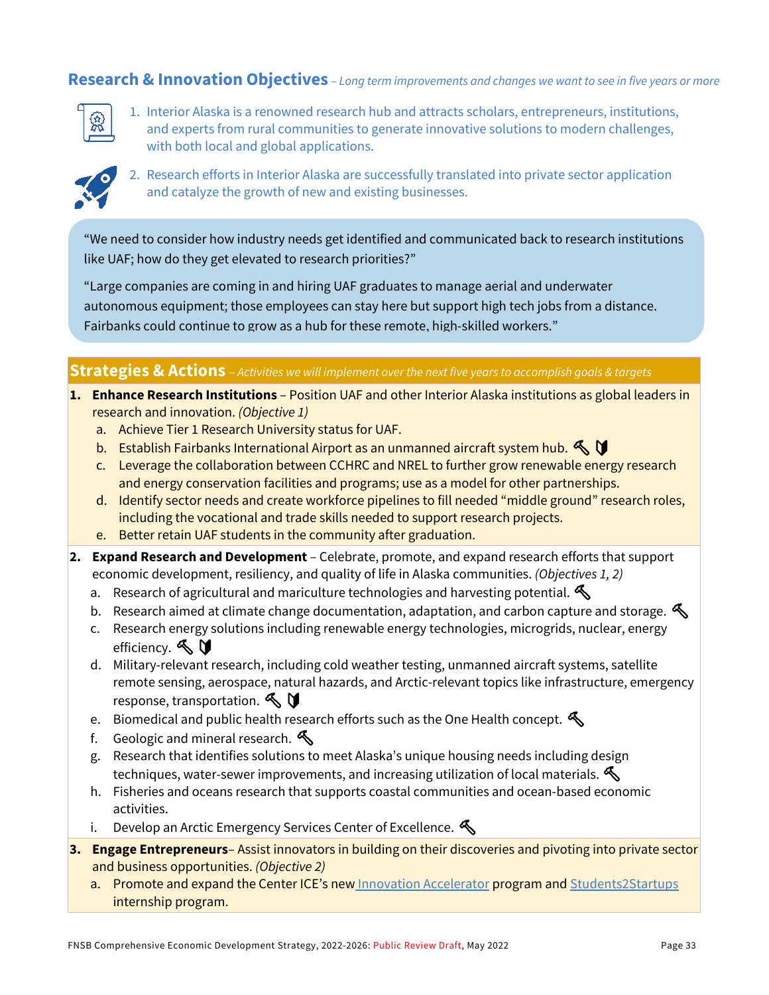### **Research & Innovation Objectives** *– Long term improvements and changes we want to see in five years or more*



1. Interior Alaska is a renowned research hub and attracts scholars, entrepreneurs, institutions, and experts from rural communities to generate innovative solutions to modern challenges, with both local and global applications.



2. Research efforts in Interior Alaska are successfully translated into private sector application and catalyze the growth of new and existing businesses.

"We need to consider how industry needs get identified and communicated back to research institutions like UAF; how do they get elevated to research priorities?"

"Large companies are coming in and hiring UAF graduates to manage aerial and underwater autonomous equipment; those employees can stay here but support high tech jobs from a distance. Fairbanks could continue to grow as a hub for these remote, high-skilled workers."

#### **Strategies & Actions** – *Activities we will implement over the next five years to accomplish goals & targets*

- **1. Enhance Research Institutions**  Position UAF and other Interior Alaska institutions as global leaders in research and innovation. *(Objective 1)*
	- a. Achieve Tier 1 Research University status for UAF.
	- b. Establish Fairbanks International Airport as an unmanned aircraft system hub.  $\triangle \mathbf{V}$
	- c. Leverage the collaboration between CCHRC and NREL to further grow renewable energy research and energy conservation facilities and programs; use as a model for other partnerships.
	- d. Identify sector needs and create workforce pipelines to fill needed "middle ground" research roles, including the vocational and trade skills needed to support research projects.
	- e. Better retain UAF students in the community after graduation.
- **2. Expand Research and Development**  Celebrate, promote, and expand research efforts that support economic development, resiliency, and quality of life in Alaska communities. *(Objectives 1, 2)*
	- a. Research of agricultural and mariculture technologies and harvesting potential.
	- b. Research aimed at climate change documentation, adaptation, and carbon capture and storage.
	- c. Research energy solutions including renewable energy technologies, microgrids, nuclear, energy efficiency.  $\mathbb{S}$   $\mathbb{U}$
	- d. Military-relevant research, including cold weather testing, unmanned aircraft systems, satellite remote sensing, aerospace, natural hazards, and Arctic-relevant topics like infrastructure, emergency response, transportation.  $\mathbb{S}$
	- e. Biomedical and public health research efforts such as the One Health concept.  $\mathcal{L}$
	- f. Geologic and mineral research.  $\mathcal{S}$
	- g. Research that identifies solutions to meet Alaska's unique housing needs including design techniques, water-sewer improvements, and increasing utilization of local materials.  $\mathcal{L}$
	- h. Fisheries and oceans research that supports coastal communities and ocean-based economic activities.
	- i. Develop an Arctic Emergency Services Center of Excellence.  $\bigotimes$
- **3. Engage Entrepreneurs** Assist innovators in building on their discoveries and pivoting into private sector and business opportunities. *(Objective 2)*
	- a. Promote and expand the Center ICE's new [Innovation Accelerator](https://www.alaska.edu/centerice/index.php) program and Students2Startups internship program.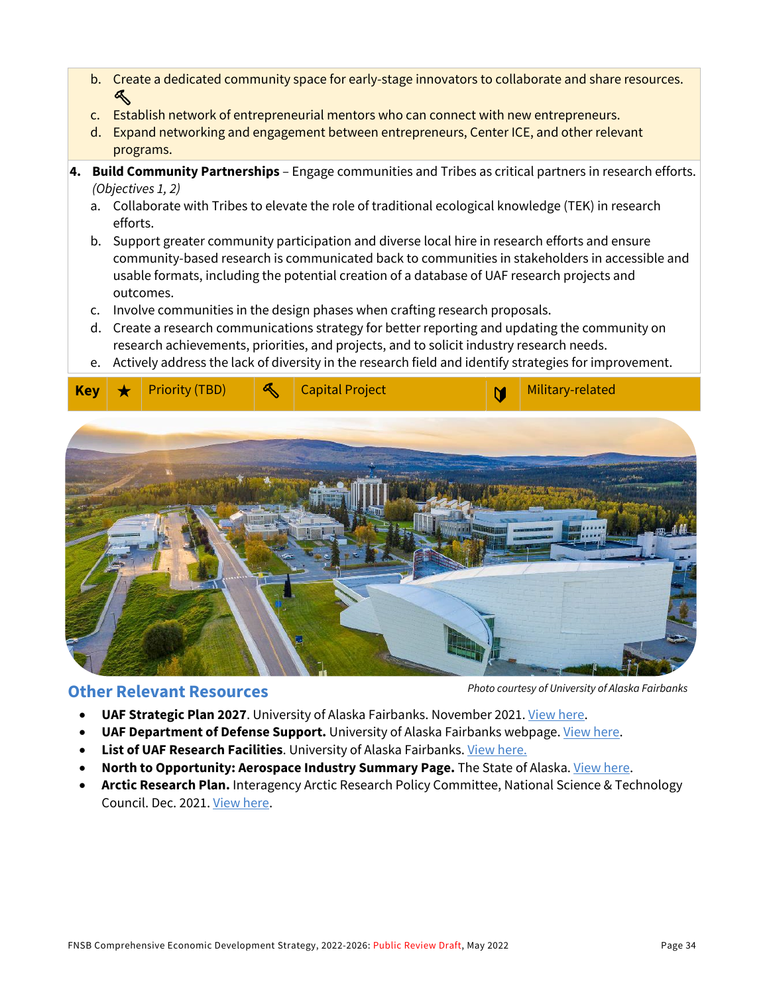- b. Create a dedicated community space for early-stage innovators to collaborate and share resources.  $\clubsuit$
- c. Establish network of entrepreneurial mentors who can connect with new entrepreneurs.
- d. Expand networking and engagement between entrepreneurs, Center ICE, and other relevant programs.
- **4. Build Community Partnerships**  Engage communities and Tribes as critical partners in research efforts. *(Objectives 1, 2)*
	- a. Collaborate with Tribes to elevate the role of traditional ecological knowledge (TEK) in research efforts.
	- b. Support greater community participation and diverse local hire in research efforts and ensure community-based research is communicated back to communities in stakeholders in accessible and usable formats, including the potential creation of a database of UAF research projects and outcomes.
	- c. Involve communities in the design phases when crafting research proposals.
	- d. Create a research communications strategy for better reporting and updating the community on research achievements, priorities, and projects, and to solicit industry research needs.
	- e. Actively address the lack of diversity in the research field and identify strategies for improvement.



### **Other Relevant Resources**

*Photo courtesy of University of Alaska Fairbanks*

- **UAF Strategic Plan 2027**. University of Alaska Fairbanks. November 2021. [View here.](https://uaf.edu/strategic/goals.php)
- **UAF Department of Defense Support.** University of Alaska Fairbanks webpage. *View here.*
- **List of UAF Research Facilities**. University of Alaska Fairbanks. View here.
- **North to Opportunity: Aerospace Industry Summary Page.** The State of Alaska. [View here.](http://north2opportunity.com/industries/aerospace/)
- **Arctic Research Plan.** Interagency Arctic Research Policy Committee, National Science & Technology Council. Dec. 2021[. View here.](https://www.iarpccollaborations.org/plan/index.html)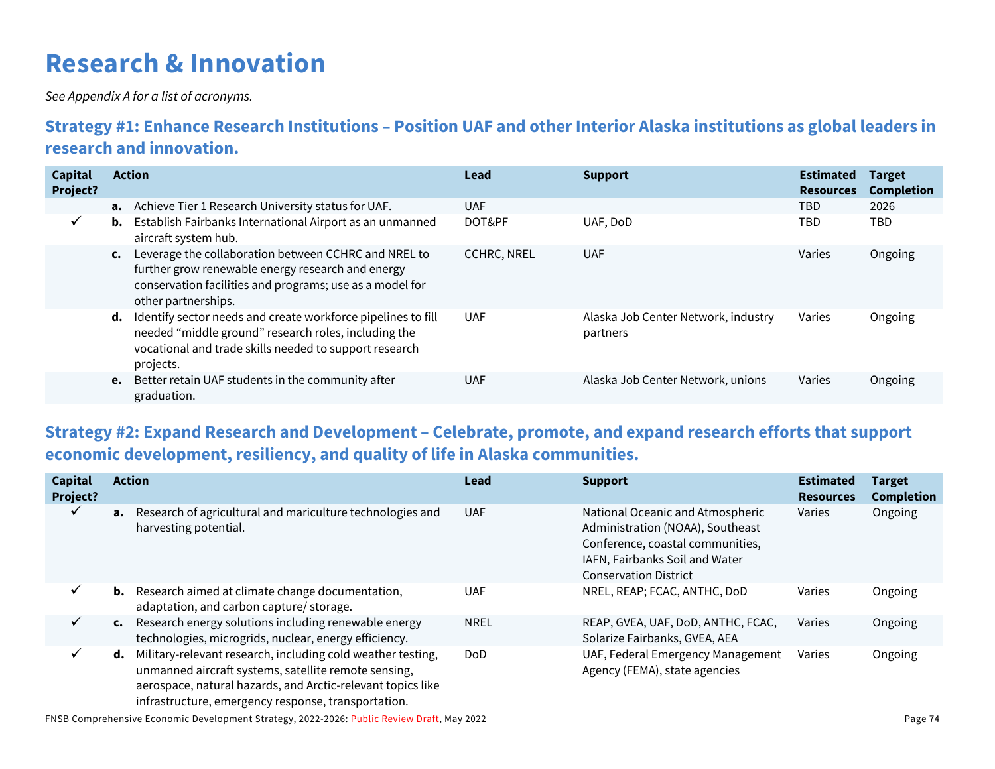# **Research & Innovation**

*See Appendix A for a list of acronyms.*

## **Strategy #1: Enhance Research Institutions – Position UAF and other Interior Alaska institutions as global leaders in research and innovation.**

| <b>Capital</b><br>Project? |                | <b>Action</b>                                                                                                                                                                                | Lead               | <b>Support</b>                                  | <b>Estimated</b><br><b>Resources</b> | <b>Target</b><br><b>Completion</b> |
|----------------------------|----------------|----------------------------------------------------------------------------------------------------------------------------------------------------------------------------------------------|--------------------|-------------------------------------------------|--------------------------------------|------------------------------------|
|                            |                | <b>a.</b> Achieve Tier 1 Research University status for UAF.                                                                                                                                 | <b>UAF</b>         |                                                 | TBD                                  | 2026                               |
| $\checkmark$               |                | <b>b.</b> Establish Fairbanks International Airport as an unmanned<br>aircraft system hub.                                                                                                   | DOT&PF             | UAF, DoD                                        | TBD                                  | <b>TBD</b>                         |
|                            | $\mathsf{c}$ . | Leverage the collaboration between CCHRC and NREL to<br>further grow renewable energy research and energy<br>conservation facilities and programs; use as a model for<br>other partnerships. | <b>CCHRC, NREL</b> | <b>UAF</b>                                      | Varies                               | Ongoing                            |
|                            | d.             | Identify sector needs and create workforce pipelines to fill<br>needed "middle ground" research roles, including the<br>vocational and trade skills needed to support research<br>projects.  | <b>UAF</b>         | Alaska Job Center Network, industry<br>partners | Varies                               | Ongoing                            |
|                            |                | e. Better retain UAF students in the community after<br>graduation.                                                                                                                          | <b>UAF</b>         | Alaska Job Center Network, unions               | Varies                               | Ongoing                            |

## **Strategy #2: Expand Research and Development – Celebrate, promote, and expand research efforts that support economic development, resiliency, and quality of life in Alaska communities.**

| <b>Capital</b><br>Project? |                | <b>Action</b>                                                                                                                                                                                                                             | Lead        | <b>Support</b>                                                                                                                                                             | <b>Estimated</b><br><b>Resources</b> | <b>Target</b><br><b>Completion</b> |
|----------------------------|----------------|-------------------------------------------------------------------------------------------------------------------------------------------------------------------------------------------------------------------------------------------|-------------|----------------------------------------------------------------------------------------------------------------------------------------------------------------------------|--------------------------------------|------------------------------------|
| ✓                          |                | a. Research of agricultural and mariculture technologies and<br>harvesting potential.                                                                                                                                                     | <b>UAF</b>  | National Oceanic and Atmospheric<br>Administration (NOAA), Southeast<br>Conference, coastal communities,<br>IAFN, Fairbanks Soil and Water<br><b>Conservation District</b> | Varies                               | Ongoing                            |
| ✓                          |                | <b>b.</b> Research aimed at climate change documentation,<br>adaptation, and carbon capture/ storage.                                                                                                                                     | <b>UAF</b>  | NREL, REAP; FCAC, ANTHC, DoD                                                                                                                                               | Varies                               | Ongoing                            |
| ✓                          | $\mathsf{c}$ . | Research energy solutions including renewable energy<br>technologies, microgrids, nuclear, energy efficiency.                                                                                                                             | <b>NREL</b> | REAP, GVEA, UAF, DoD, ANTHC, FCAC,<br>Solarize Fairbanks, GVEA, AEA                                                                                                        | Varies                               | Ongoing                            |
| ✓                          | d.             | Military-relevant research, including cold weather testing,<br>unmanned aircraft systems, satellite remote sensing,<br>aerospace, natural hazards, and Arctic-relevant topics like<br>infrastructure, emergency response, transportation. | <b>DoD</b>  | UAF, Federal Emergency Management<br>Agency (FEMA), state agencies                                                                                                         | Varies                               | Ongoing                            |

FNSB Comprehensive Economic Development Strategy, 2022-2026: Public Review Draft, May 2022 Page 74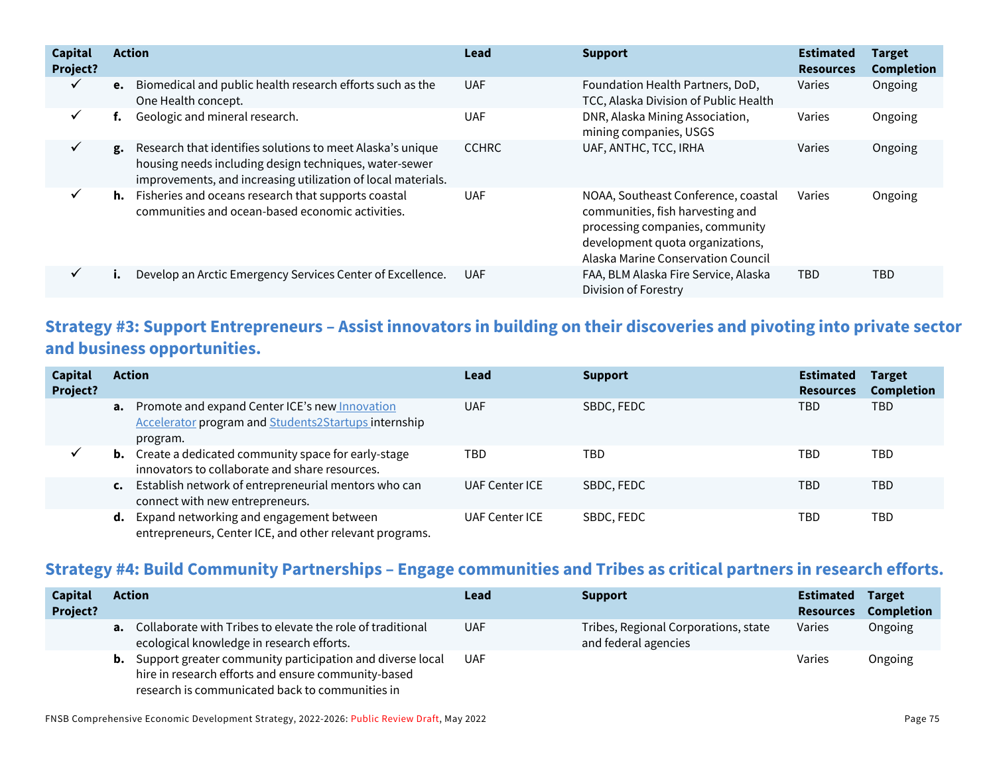| <b>Capital</b><br>Project? |    | <b>Action</b>                                                                                                                                                                        | Lead         | <b>Support</b>                                                                                                                                                                       | <b>Estimated</b><br><b>Resources</b> | <b>Target</b><br><b>Completion</b> |
|----------------------------|----|--------------------------------------------------------------------------------------------------------------------------------------------------------------------------------------|--------------|--------------------------------------------------------------------------------------------------------------------------------------------------------------------------------------|--------------------------------------|------------------------------------|
| ✓                          | e. | Biomedical and public health research efforts such as the<br>One Health concept.                                                                                                     | <b>UAF</b>   | Foundation Health Partners, DoD,<br>TCC, Alaska Division of Public Health                                                                                                            | Varies                               | Ongoing                            |
| ✓                          |    | Geologic and mineral research.                                                                                                                                                       | <b>UAF</b>   | DNR, Alaska Mining Association,<br>mining companies, USGS                                                                                                                            | Varies                               | Ongoing                            |
| ✓                          | g. | Research that identifies solutions to meet Alaska's unique<br>housing needs including design techniques, water-sewer<br>improvements, and increasing utilization of local materials. | <b>CCHRC</b> | UAF, ANTHC, TCC, IRHA                                                                                                                                                                | Varies                               | Ongoing                            |
|                            |    | h. Fisheries and oceans research that supports coastal<br>communities and ocean-based economic activities.                                                                           | <b>UAF</b>   | NOAA, Southeast Conference, coastal<br>communities, fish harvesting and<br>processing companies, community<br>development quota organizations,<br>Alaska Marine Conservation Council | Varies                               | Ongoing                            |
| ✓                          |    | Develop an Arctic Emergency Services Center of Excellence.                                                                                                                           | <b>UAF</b>   | FAA, BLM Alaska Fire Service, Alaska<br>Division of Forestry                                                                                                                         | TBD                                  | TBD                                |

### **Strategy #3: Support Entrepreneurs – Assist innovators in building on their discoveries and pivoting into private sector and business opportunities.**

| Capital<br>Project? | <b>Action</b> |                                                                                                                              | Lead                  | <b>Support</b> | <b>Estimated</b><br><b>Resources</b> | <b>Target</b><br><b>Completion</b> |
|---------------------|---------------|------------------------------------------------------------------------------------------------------------------------------|-----------------------|----------------|--------------------------------------|------------------------------------|
|                     |               | <b>a.</b> Promote and expand Center ICE's new Innovation<br>Accelerator program and Students2Startups internship<br>program. | <b>UAF</b>            | SBDC, FEDC     | TBD                                  | TBD                                |
|                     |               | <b>b.</b> Create a dedicated community space for early-stage<br>innovators to collaborate and share resources.               | TBD                   | TBD            | TBD                                  | TBD                                |
|                     |               | c. Establish network of entrepreneurial mentors who can<br>connect with new entrepreneurs.                                   | UAF Center ICE        | SBDC, FEDC     | TBD                                  | TBD                                |
|                     |               | <b>d.</b> Expand networking and engagement between<br>entrepreneurs, Center ICE, and other relevant programs.                | <b>UAF Center ICE</b> | SBDC, FEDC     | TBD                                  | TBD                                |

### **Strategy #4: Build Community Partnerships – Engage communities and Tribes as critical partners in research efforts.**

| <b>Capital</b><br><b>Project?</b> | Action                                                                                                                                                                        | Lead       | <b>Support</b>                                               | <b>Estimated</b><br><b>Resources</b> | <b>Target</b><br>Completion |
|-----------------------------------|-------------------------------------------------------------------------------------------------------------------------------------------------------------------------------|------------|--------------------------------------------------------------|--------------------------------------|-----------------------------|
|                                   | <b>a.</b> Collaborate with Tribes to elevate the role of traditional<br>ecological knowledge in research efforts.                                                             | <b>UAF</b> | Tribes, Regional Corporations, state<br>and federal agencies | Varies                               | Ongoing                     |
|                                   | <b>b.</b> Support greater community participation and diverse local<br>hire in research efforts and ensure community-based<br>research is communicated back to communities in | UAF        |                                                              | Varies                               | Ongoing                     |